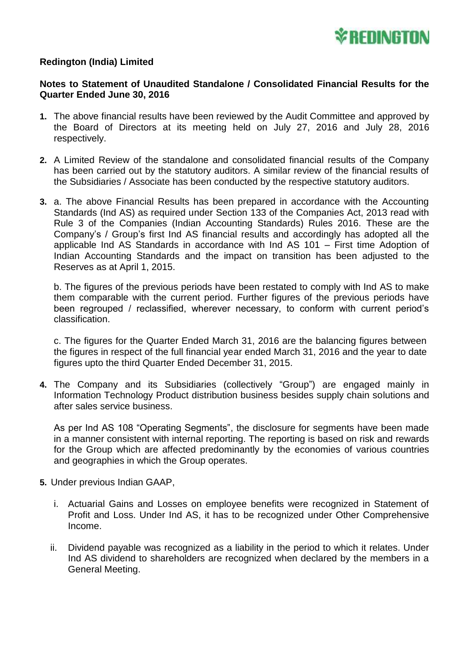

## **Redington (India) Limited**

## **Notes to Statement of Unaudited Standalone / Consolidated Financial Results for the Quarter Ended June 30, 2016**

- **1.** The above financial results have been reviewed by the Audit Committee and approved by the Board of Directors at its meeting held on July 27, 2016 and July 28, 2016 respectively.
- **2.** A Limited Review of the standalone and consolidated financial results of the Company has been carried out by the statutory auditors. A similar review of the financial results of the Subsidiaries / Associate has been conducted by the respective statutory auditors.
- **3.** a. The above Financial Results has been prepared in accordance with the Accounting Standards (Ind AS) as required under Section 133 of the Companies Act, 2013 read with Rule 3 of the Companies (Indian Accounting Standards) Rules 2016. These are the Company's / Group's first Ind AS financial results and accordingly has adopted all the applicable Ind AS Standards in accordance with Ind AS 101 – First time Adoption of Indian Accounting Standards and the impact on transition has been adjusted to the Reserves as at April 1, 2015.

b. The figures of the previous periods have been restated to comply with Ind AS to make them comparable with the current period. Further figures of the previous periods have been regrouped / reclassified, wherever necessary, to conform with current period's classification.

c. The figures for the Quarter Ended March 31, 2016 are the balancing figures between the figures in respect of the full financial year ended March 31, 2016 and the year to date figures upto the third Quarter Ended December 31, 2015.

**4.** The Company and its Subsidiaries (collectively "Group") are engaged mainly in Information Technology Product distribution business besides supply chain solutions and after sales service business.

As per Ind AS 108 "Operating Segments", the disclosure for segments have been made in a manner consistent with internal reporting. The reporting is based on risk and rewards for the Group which are affected predominantly by the economies of various countries and geographies in which the Group operates.

- **5.** Under previous Indian GAAP,
	- i. Actuarial Gains and Losses on employee benefits were recognized in Statement of Profit and Loss. Under Ind AS, it has to be recognized under Other Comprehensive Income.
	- ii. Dividend payable was recognized as a liability in the period to which it relates. Under Ind AS dividend to shareholders are recognized when declared by the members in a General Meeting.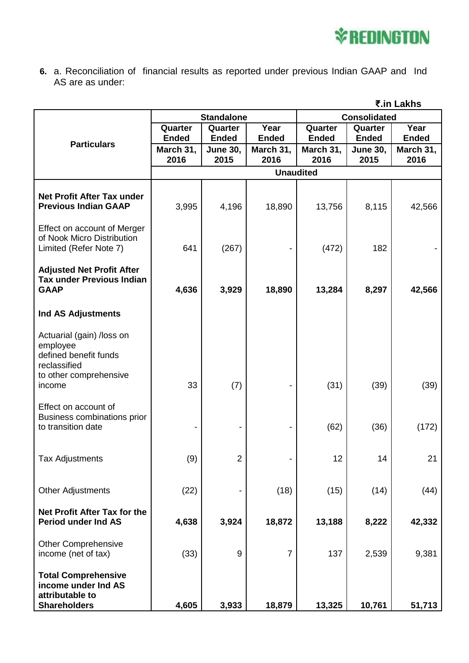

**6.** a. Reconciliation of financial results as reported under previous Indian GAAP and Ind AS are as under:

|                                                                                             |                   | ₹.in Lakhs              |                   |                     |                         |                   |
|---------------------------------------------------------------------------------------------|-------------------|-------------------------|-------------------|---------------------|-------------------------|-------------------|
|                                                                                             | <b>Standalone</b> |                         |                   | <b>Consolidated</b> |                         |                   |
| <b>Particulars</b>                                                                          | Quarter           | Quarter                 | Year              | Quarter             | Quarter                 | Year              |
|                                                                                             | <b>Ended</b>      | <b>Ended</b>            | <b>Ended</b>      | <b>Ended</b>        | <b>Ended</b>            | <b>Ended</b>      |
|                                                                                             | March 31,<br>2016 | <b>June 30,</b><br>2015 | March 31,<br>2016 | March 31,<br>2016   | <b>June 30,</b><br>2015 | March 31,<br>2016 |
|                                                                                             |                   | <b>Unaudited</b>        |                   |                     |                         |                   |
|                                                                                             |                   |                         |                   |                     |                         |                   |
| <b>Net Profit After Tax under</b><br><b>Previous Indian GAAP</b>                            | 3,995             | 4,196                   | 18,890            | 13,756              | 8,115                   | 42,566            |
| Effect on account of Merger<br>of Nook Micro Distribution<br>Limited (Refer Note 7)         | 641               | (267)                   |                   | (472)               | 182                     |                   |
| <b>Adjusted Net Profit After</b><br><b>Tax under Previous Indian</b><br><b>GAAP</b>         | 4,636             | 3,929                   | 18,890            | 13,284              | 8,297                   | 42,566            |
| <b>Ind AS Adjustments</b>                                                                   |                   |                         |                   |                     |                         |                   |
| Actuarial (gain) /loss on<br>employee<br>defined benefit funds<br>reclassified              |                   |                         |                   |                     |                         |                   |
| to other comprehensive<br>income                                                            | 33                | (7)                     |                   | (31)                | (39)                    | (39)              |
| Effect on account of<br>Business combinations prior<br>to transition date                   |                   |                         |                   | (62)                | (36)                    | (172)             |
| <b>Tax Adjustments</b>                                                                      | (9)               | $\overline{2}$          |                   | 12                  | 14                      | 21                |
| <b>Other Adjustments</b>                                                                    | (22)              |                         | (18)              | (15)                | (14)                    | (44)              |
| Net Profit After Tax for the<br><b>Period under Ind AS</b>                                  | 4,638             | 3,924                   | 18,872            | 13,188              | 8,222                   | 42,332            |
| <b>Other Comprehensive</b><br>income (net of tax)                                           | (33)              | $\boldsymbol{9}$        | $\overline{7}$    | 137                 | 2,539                   | 9,381             |
| <b>Total Comprehensive</b><br>income under Ind AS<br>attributable to<br><b>Shareholders</b> | 4,605             | 3,933                   | 18,879            | 13,325              | 10,761                  | 51,713            |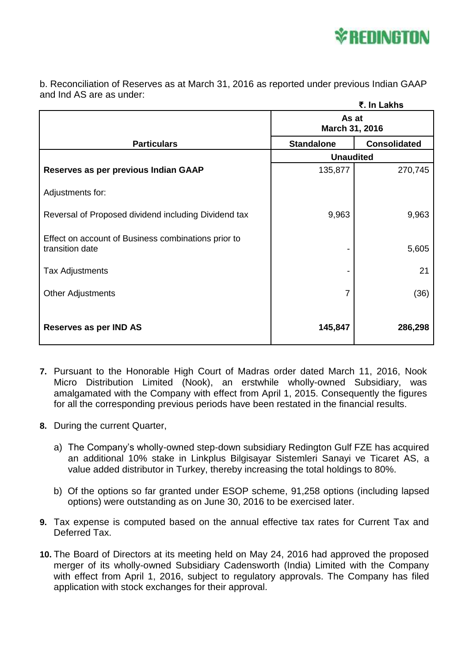

b. Reconciliation of Reserves as at March 31, 2016 as reported under previous Indian GAAP and Ind AS are as under:

|                                                                        | ₹. In Lakhs             |                     |  |
|------------------------------------------------------------------------|-------------------------|---------------------|--|
|                                                                        | As at<br>March 31, 2016 |                     |  |
| <b>Particulars</b>                                                     | <b>Standalone</b>       | <b>Consolidated</b> |  |
|                                                                        | <b>Unaudited</b>        |                     |  |
| Reserves as per previous Indian GAAP                                   | 135,877                 | 270,745             |  |
| Adjustments for:                                                       |                         |                     |  |
| Reversal of Proposed dividend including Dividend tax                   | 9,963                   | 9,963               |  |
| Effect on account of Business combinations prior to<br>transition date |                         | 5,605               |  |
| <b>Tax Adjustments</b>                                                 |                         | 21                  |  |
| <b>Other Adjustments</b>                                               | 7                       | (36)                |  |
| Reserves as per IND AS                                                 | 145,847                 | 286,298             |  |

- **7.** Pursuant to the Honorable High Court of Madras order dated March 11, 2016, Nook Micro Distribution Limited (Nook), an erstwhile wholly-owned Subsidiary, was amalgamated with the Company with effect from April 1, 2015. Consequently the figures for all the corresponding previous periods have been restated in the financial results.
- **8.** During the current Quarter,
	- a) The Company's wholly-owned step-down subsidiary Redington Gulf FZE has acquired an additional 10% stake in Linkplus Bilgisayar Sistemleri Sanayi ve Ticaret AS, a value added distributor in Turkey, thereby increasing the total holdings to 80%.
	- b) Of the options so far granted under ESOP scheme, 91,258 options (including lapsed options) were outstanding as on June 30, 2016 to be exercised later.
- **9.** Tax expense is computed based on the annual effective tax rates for Current Tax and Deferred Tax.
- **10.** The Board of Directors at its meeting held on May 24, 2016 had approved the proposed merger of its wholly-owned Subsidiary Cadensworth (India) Limited with the Company with effect from April 1, 2016, subject to regulatory approvals. The Company has filed application with stock exchanges for their approval.